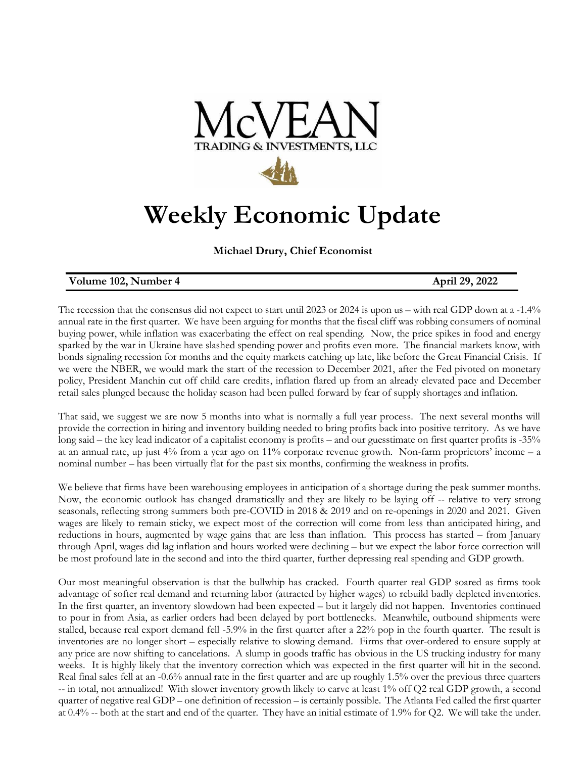

## **Weekly Economic Update**

**Michael Drury, Chief Economist**

## **Volume 102, Number 4 April 29, 2022**

The recession that the consensus did not expect to start until 2023 or 2024 is upon us – with real GDP down at a -1.4% annual rate in the first quarter. We have been arguing for months that the fiscal cliff was robbing consumers of nominal buying power, while inflation was exacerbating the effect on real spending. Now, the price spikes in food and energy sparked by the war in Ukraine have slashed spending power and profits even more. The financial markets know, with bonds signaling recession for months and the equity markets catching up late, like before the Great Financial Crisis. If we were the NBER, we would mark the start of the recession to December 2021, after the Fed pivoted on monetary policy, President Manchin cut off child care credits, inflation flared up from an already elevated pace and December retail sales plunged because the holiday season had been pulled forward by fear of supply shortages and inflation.

That said, we suggest we are now 5 months into what is normally a full year process. The next several months will provide the correction in hiring and inventory building needed to bring profits back into positive territory. As we have long said – the key lead indicator of a capitalist economy is profits – and our guesstimate on first quarter profits is -35% at an annual rate, up just 4% from a year ago on 11% corporate revenue growth. Non-farm proprietors' income – a nominal number – has been virtually flat for the past six months, confirming the weakness in profits.

We believe that firms have been warehousing employees in anticipation of a shortage during the peak summer months. Now, the economic outlook has changed dramatically and they are likely to be laying off -- relative to very strong seasonals, reflecting strong summers both pre-COVID in 2018 & 2019 and on re-openings in 2020 and 2021. Given wages are likely to remain sticky, we expect most of the correction will come from less than anticipated hiring, and reductions in hours, augmented by wage gains that are less than inflation. This process has started – from January through April, wages did lag inflation and hours worked were declining – but we expect the labor force correction will be most profound late in the second and into the third quarter, further depressing real spending and GDP growth.

Our most meaningful observation is that the bullwhip has cracked. Fourth quarter real GDP soared as firms took advantage of softer real demand and returning labor (attracted by higher wages) to rebuild badly depleted inventories. In the first quarter, an inventory slowdown had been expected – but it largely did not happen. Inventories continued to pour in from Asia, as earlier orders had been delayed by port bottlenecks. Meanwhile, outbound shipments were stalled, because real export demand fell -5.9% in the first quarter after a 22% pop in the fourth quarter. The result is inventories are no longer short – especially relative to slowing demand. Firms that over-ordered to ensure supply at any price are now shifting to cancelations. A slump in goods traffic has obvious in the US trucking industry for many weeks. It is highly likely that the inventory correction which was expected in the first quarter will hit in the second. Real final sales fell at an -0.6% annual rate in the first quarter and are up roughly 1.5% over the previous three quarters -- in total, not annualized! With slower inventory growth likely to carve at least 1% off Q2 real GDP growth, a second quarter of negative real GDP – one definition of recession – is certainly possible. The Atlanta Fed called the first quarter at 0.4% -- both at the start and end of the quarter. They have an initial estimate of 1.9% for Q2. We will take the under.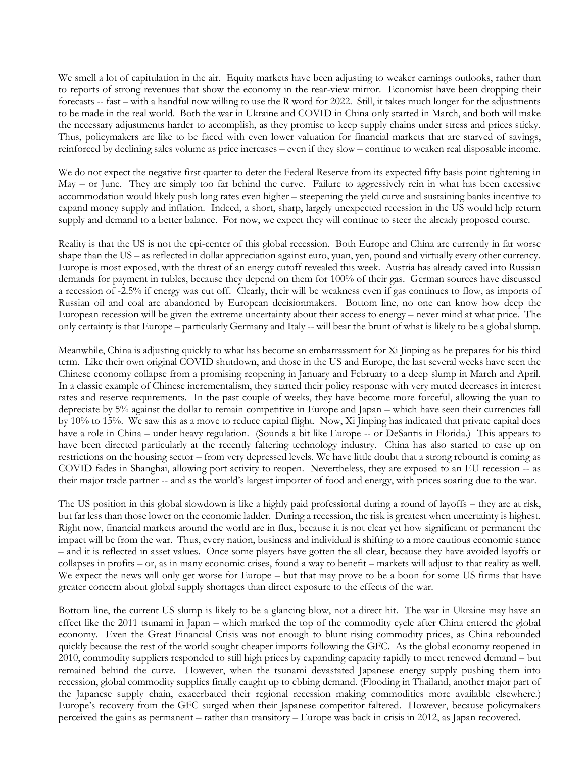We smell a lot of capitulation in the air. Equity markets have been adjusting to weaker earnings outlooks, rather than to reports of strong revenues that show the economy in the rear-view mirror. Economist have been dropping their forecasts -- fast – with a handful now willing to use the R word for 2022. Still, it takes much longer for the adjustments to be made in the real world. Both the war in Ukraine and COVID in China only started in March, and both will make the necessary adjustments harder to accomplish, as they promise to keep supply chains under stress and prices sticky. Thus, policymakers are like to be faced with even lower valuation for financial markets that are starved of savings, reinforced by declining sales volume as price increases – even if they slow – continue to weaken real disposable income.

We do not expect the negative first quarter to deter the Federal Reserve from its expected fifty basis point tightening in May – or June. They are simply too far behind the curve. Failure to aggressively rein in what has been excessive accommodation would likely push long rates even higher – steepening the yield curve and sustaining banks incentive to expand money supply and inflation. Indeed, a short, sharp, largely unexpected recession in the US would help return supply and demand to a better balance. For now, we expect they will continue to steer the already proposed course.

Reality is that the US is not the epi-center of this global recession. Both Europe and China are currently in far worse shape than the US – as reflected in dollar appreciation against euro, yuan, yen, pound and virtually every other currency. Europe is most exposed, with the threat of an energy cutoff revealed this week. Austria has already caved into Russian demands for payment in rubles, because they depend on them for 100% of their gas. German sources have discussed a recession of -2.5% if energy was cut off. Clearly, their will be weakness even if gas continues to flow, as imports of Russian oil and coal are abandoned by European decisionmakers. Bottom line, no one can know how deep the European recession will be given the extreme uncertainty about their access to energy – never mind at what price. The only certainty is that Europe – particularly Germany and Italy -- will bear the brunt of what is likely to be a global slump.

Meanwhile, China is adjusting quickly to what has become an embarrassment for Xi Jinping as he prepares for his third term. Like their own original COVID shutdown, and those in the US and Europe, the last several weeks have seen the Chinese economy collapse from a promising reopening in January and February to a deep slump in March and April. In a classic example of Chinese incrementalism, they started their policy response with very muted decreases in interest rates and reserve requirements. In the past couple of weeks, they have become more forceful, allowing the yuan to depreciate by 5% against the dollar to remain competitive in Europe and Japan – which have seen their currencies fall by 10% to 15%. We saw this as a move to reduce capital flight. Now, Xi Jinping has indicated that private capital does have a role in China – under heavy regulation. (Sounds a bit like Europe -- or DeSantis in Florida.) This appears to have been directed particularly at the recently faltering technology industry. China has also started to ease up on restrictions on the housing sector – from very depressed levels. We have little doubt that a strong rebound is coming as COVID fades in Shanghai, allowing port activity to reopen. Nevertheless, they are exposed to an EU recession -- as their major trade partner -- and as the world's largest importer of food and energy, with prices soaring due to the war.

The US position in this global slowdown is like a highly paid professional during a round of layoffs – they are at risk, but far less than those lower on the economic ladder. During a recession, the risk is greatest when uncertainty is highest. Right now, financial markets around the world are in flux, because it is not clear yet how significant or permanent the impact will be from the war. Thus, every nation, business and individual is shifting to a more cautious economic stance – and it is reflected in asset values. Once some players have gotten the all clear, because they have avoided layoffs or collapses in profits – or, as in many economic crises, found a way to benefit – markets will adjust to that reality as well. We expect the news will only get worse for Europe – but that may prove to be a boon for some US firms that have greater concern about global supply shortages than direct exposure to the effects of the war.

Bottom line, the current US slump is likely to be a glancing blow, not a direct hit. The war in Ukraine may have an effect like the 2011 tsunami in Japan – which marked the top of the commodity cycle after China entered the global economy. Even the Great Financial Crisis was not enough to blunt rising commodity prices, as China rebounded quickly because the rest of the world sought cheaper imports following the GFC. As the global economy reopened in 2010, commodity suppliers responded to still high prices by expanding capacity rapidly to meet renewed demand – but remained behind the curve. However, when the tsunami devastated Japanese energy supply pushing them into recession, global commodity supplies finally caught up to ebbing demand. (Flooding in Thailand, another major part of the Japanese supply chain, exacerbated their regional recession making commodities more available elsewhere.) Europe's recovery from the GFC surged when their Japanese competitor faltered. However, because policymakers perceived the gains as permanent – rather than transitory – Europe was back in crisis in 2012, as Japan recovered.